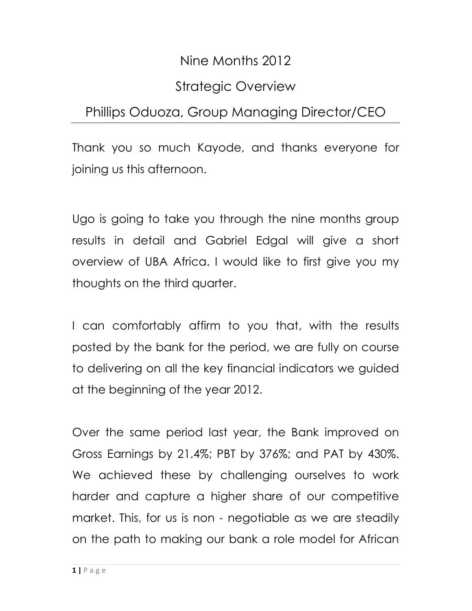# Nine Months 2012

# Strategic Overview

# Phillips Oduoza, Group Managing Director/CEO

Thank you so much Kayode, and thanks everyone for joining us this afternoon.

Ugo is going to take you through the nine months group results in detail and Gabriel Edgal will give a short overview of UBA Africa. I would like to first give you my thoughts on the third quarter.

I can comfortably affirm to you that, with the results posted by the bank for the period, we are fully on course to delivering on all the key financial indicators we guided at the beginning of the year 2012.

Over the same period last year, the Bank improved on Gross Earnings by 21.4%; PBT by 376%; and PAT by 430%. We achieved these by challenging ourselves to work harder and capture a higher share of our competitive market. This, for us is non - negotiable as we are steadily on the path to making our bank a role model for African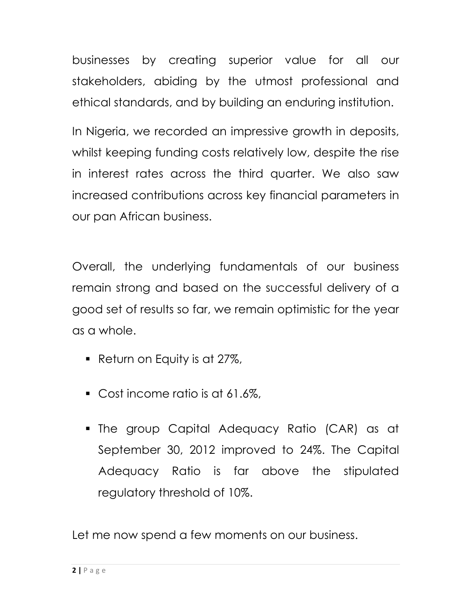businesses by creating superior value for all our stakeholders, abiding by the utmost professional and ethical standards, and by building an enduring institution.

In Nigeria, we recorded an impressive growth in deposits, whilst keeping funding costs relatively low, despite the rise in interest rates across the third quarter. We also saw increased contributions across key financial parameters in our pan African business.

Overall, the underlying fundamentals of our business remain strong and based on the successful delivery of a good set of results so far, we remain optimistic for the year as a whole.

- Return on Equity is at 27%,
- Cost income ratio is at 61.6%,
- The group Capital Adequacy Ratio (CAR) as at September 30, 2012 improved to 24%. The Capital Adequacy Ratio is far above the stipulated regulatory threshold of 10%.

Let me now spend a few moments on our business.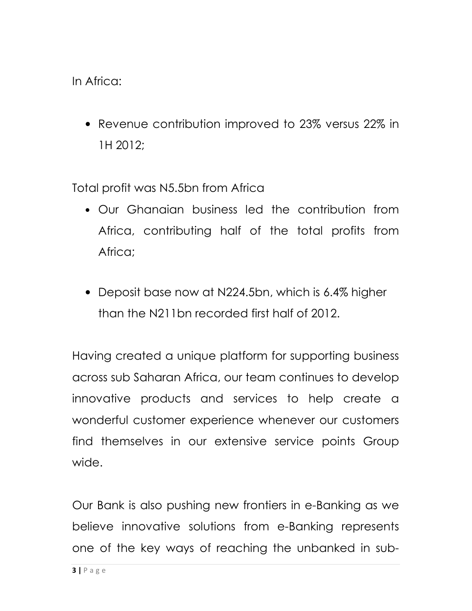In Africa:

• Revenue contribution improved to 23% versus 22% in 1H 2012;

Total profit was N5.5bn from Africa

- Our Ghanaian business led the contribution from Africa, contributing half of the total profits from Africa;
- Deposit base now at N224.5bn, which is 6.4% higher than the N211bn recorded first half of 2012.

Having created a unique platform for supporting business across sub Saharan Africa, our team continues to develop innovative products and services to help create a wonderful customer experience whenever our customers find themselves in our extensive service points Group wide.

Our Bank is also pushing new frontiers in e-Banking as we believe innovative solutions from e-Banking represents one of the key ways of reaching the unbanked in sub-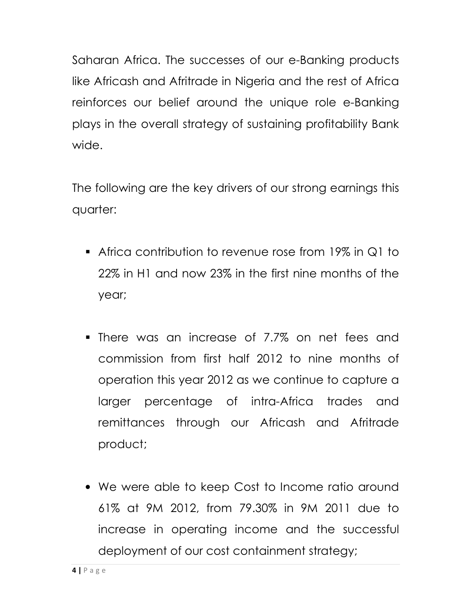Saharan Africa. The successes of our e-Banking products like Africash and Afritrade in Nigeria and the rest of Africa reinforces our belief around the unique role e-Banking plays in the overall strategy of sustaining profitability Bank wide.

The following are the key drivers of our strong earnings this quarter:

- Africa contribution to revenue rose from 19% in Q1 to 22% in H1 and now 23% in the first nine months of the year;
- There was an increase of 7.7% on net fees and commission from first half 2012 to nine months of operation this year 2012 as we continue to capture a larger percentage of intra-Africa trades and remittances through our Africash and Afritrade product;
- We were able to keep Cost to Income ratio around 61% at 9M 2012, from 79.30% in 9M 2011 due to increase in operating income and the successful deployment of our cost containment strategy;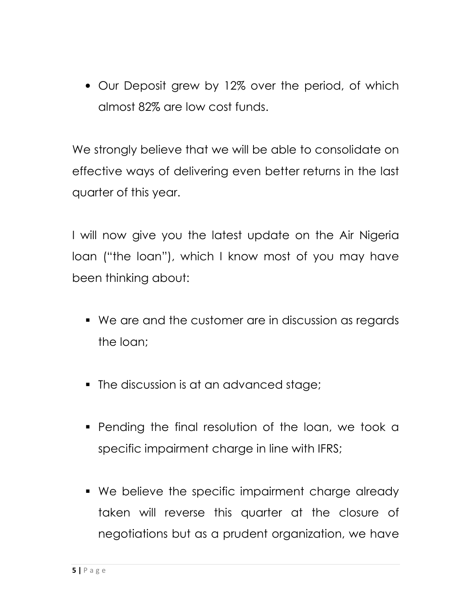• Our Deposit grew by 12% over the period, of which almost 82% are low cost funds.

We strongly believe that we will be able to consolidate on effective ways of delivering even better returns in the last quarter of this year.

I will now give you the latest update on the Air Nigeria loan ("the loan"), which I know most of you may have been thinking about:

- We are and the customer are in discussion as regards the loan;
- The discussion is at an advanced stage;
- **Pending the final resolution of the loan, we took a** specific impairment charge in line with IFRS;
- We believe the specific impairment charge already taken will reverse this quarter at the closure of negotiations but as a prudent organization, we have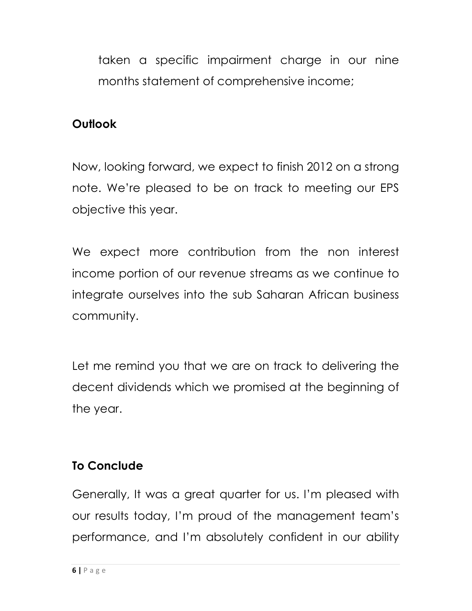taken a specific impairment charge in our nine months statement of comprehensive income;

#### **Outlook**

Now, looking forward, we expect to finish 2012 on a strong note. We're pleased to be on track to meeting our EPS objective this year.

We expect more contribution from the non interest income portion of our revenue streams as we continue to integrate ourselves into the sub Saharan African business community.

Let me remind you that we are on track to delivering the decent dividends which we promised at the beginning of the year.

## To Conclude

Generally, It was a great quarter for us. I'm pleased with our results today, I'm proud of the management team's performance, and I'm absolutely confident in our ability